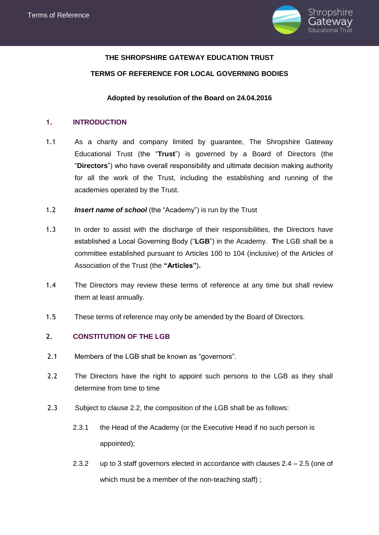

# **THE SHROPSHIRE GATEWAY EDUCATION TRUST TERMS OF REFERENCE FOR LOCAL GOVERNING BODIES**

### **Adopted by resolution of the Board on 24.04.2016**

# **1. INTRODUCTION**

- 1.1 As a charity and company limited by guarantee, The Shropshire Gateway Educational Trust (the "**Trust**") is governed by a Board of Directors (the "**Directors**") who have overall responsibility and ultimate decision making authority for all the work of the Trust, including the establishing and running of the academies operated by the Trust.
- 1.2 *Insert name of school* (the "Academy") is run by the Trust
- 1.3 In order to assist with the discharge of their responsibilities, the Directors have established a Local Governing Body ("**LGB**") in the Academy. **T**he LGB shall be a committee established pursuant to Articles 100 to 104 (inclusive) of the Articles of Association of the Trust (the **"Articles"**)**.**
- 1.4 The Directors may review these terms of reference at any time but shall review them at least annually.
- 1.5 These terms of reference may only be amended by the Board of Directors.

# **2. CONSTITUTION OF THE LGB**

- 2.1 Members of the LGB shall be known as "governors".
- 2.2 The Directors have the right to appoint such persons to the LGB as they shall determine from time to time
- 2.3 Subject to clause 2.2, the composition of the LGB shall be as follows:
	- 2.3.1 the Head of the Academy (or the Executive Head if no such person is appointed);
	- 2.3.2 up to 3 staff governors elected in accordance with clauses  $2.4 2.5$  (one of which must be a member of the non-teaching staff) ;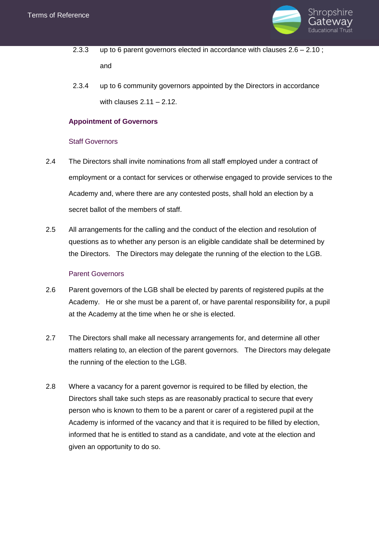

- 2.3.3 up to 6 parent governors elected in accordance with clauses 2.6 2.10 ; and
- 2.3.4 up to 6 community governors appointed by the Directors in accordance with clauses  $2.11 - 2.12$ .

### **Appointment of Governors**

### Staff Governors

- 2.4 The Directors shall invite nominations from all staff employed under a contract of employment or a contact for services or otherwise engaged to provide services to the Academy and, where there are any contested posts, shall hold an election by a secret ballot of the members of staff.
- 2.5 All arrangements for the calling and the conduct of the election and resolution of questions as to whether any person is an eligible candidate shall be determined by the Directors. The Directors may delegate the running of the election to the LGB.

#### Parent Governors

- 2.6 Parent governors of the LGB shall be elected by parents of registered pupils at the Academy. He or she must be a parent of, or have parental responsibility for, a pupil at the Academy at the time when he or she is elected.
- 2.7 The Directors shall make all necessary arrangements for, and determine all other matters relating to, an election of the parent governors. The Directors may delegate the running of the election to the LGB.
- 2.8 Where a vacancy for a parent governor is required to be filled by election, the Directors shall take such steps as are reasonably practical to secure that every person who is known to them to be a parent or carer of a registered pupil at the Academy is informed of the vacancy and that it is required to be filled by election, informed that he is entitled to stand as a candidate, and vote at the election and given an opportunity to do so.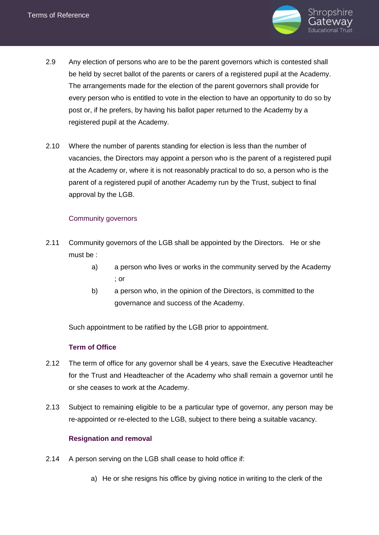

- 2.9 Any election of persons who are to be the parent governors which is contested shall be held by secret ballot of the parents or carers of a registered pupil at the Academy. The arrangements made for the election of the parent governors shall provide for every person who is entitled to vote in the election to have an opportunity to do so by post or, if he prefers, by having his ballot paper returned to the Academy by a registered pupil at the Academy.
- 2.10 Where the number of parents standing for election is less than the number of vacancies, the Directors may appoint a person who is the parent of a registered pupil at the Academy or, where it is not reasonably practical to do so, a person who is the parent of a registered pupil of another Academy run by the Trust, subject to final approval by the LGB.

# Community governors

- 2.11 Community governors of the LGB shall be appointed by the Directors. He or she must be :
	- a) a person who lives or works in the community served by the Academy ; or
	- b) a person who, in the opinion of the Directors, is committed to the governance and success of the Academy.

Such appointment to be ratified by the LGB prior to appointment.

### **Term of Office**

- 2.12 The term of office for any governor shall be 4 years, save the Executive Headteacher for the Trust and Headteacher of the Academy who shall remain a governor until he or she ceases to work at the Academy.
- 2.13 Subject to remaining eligible to be a particular type of governor, any person may be re-appointed or re-elected to the LGB, subject to there being a suitable vacancy.

### **Resignation and removal**

- 2.14 A person serving on the LGB shall cease to hold office if:
	- a) He or she resigns his office by giving notice in writing to the clerk of the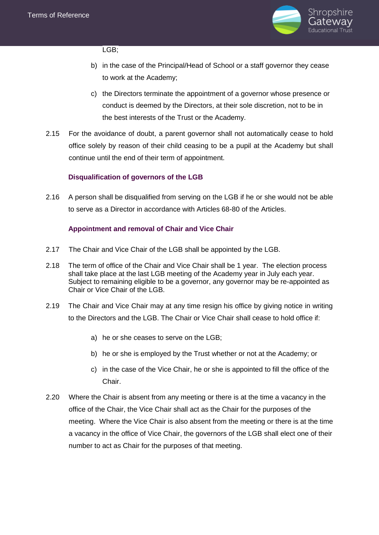

#### LGB;

- b) in the case of the Principal/Head of School or a staff governor they cease to work at the Academy;
- c) the Directors terminate the appointment of a governor whose presence or conduct is deemed by the Directors, at their sole discretion, not to be in the best interests of the Trust or the Academy.
- 2.15 For the avoidance of doubt, a parent governor shall not automatically cease to hold office solely by reason of their child ceasing to be a pupil at the Academy but shall continue until the end of their term of appointment.

# **Disqualification of governors of the LGB**

2.16 A person shall be disqualified from serving on the LGB if he or she would not be able to serve as a Director in accordance with Articles 68-80 of the Articles.

# **Appointment and removal of Chair and Vice Chair**

- 2.17 The Chair and Vice Chair of the LGB shall be appointed by the LGB.
- 2.18 The term of office of the Chair and Vice Chair shall be 1 year. The election process shall take place at the last LGB meeting of the Academy year in July each year. Subject to remaining eligible to be a governor, any governor may be re-appointed as Chair or Vice Chair of the LGB.
- 2.19 The Chair and Vice Chair may at any time resign his office by giving notice in writing to the Directors and the LGB. The Chair or Vice Chair shall cease to hold office if:
	- a) he or she ceases to serve on the LGB;
	- b) he or she is employed by the Trust whether or not at the Academy; or
	- c) in the case of the Vice Chair, he or she is appointed to fill the office of the Chair.
- 2.20 Where the Chair is absent from any meeting or there is at the time a vacancy in the office of the Chair, the Vice Chair shall act as the Chair for the purposes of the meeting. Where the Vice Chair is also absent from the meeting or there is at the time a vacancy in the office of Vice Chair, the governors of the LGB shall elect one of their number to act as Chair for the purposes of that meeting.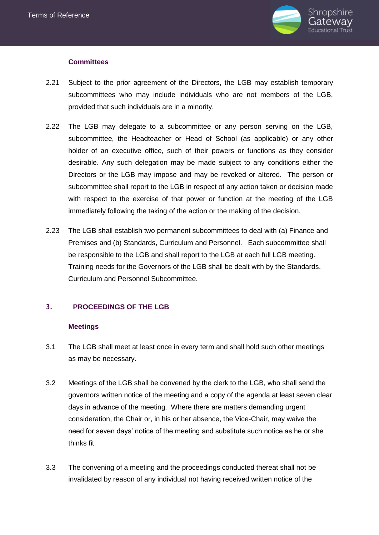

# **Committees**

- 2.21 Subject to the prior agreement of the Directors, the LGB may establish temporary subcommittees who may include individuals who are not members of the LGB, provided that such individuals are in a minority.
- 2.22 The LGB may delegate to a subcommittee or any person serving on the LGB, subcommittee, the Headteacher or Head of School (as applicable) or any other holder of an executive office, such of their powers or functions as they consider desirable. Any such delegation may be made subject to any conditions either the Directors or the LGB may impose and may be revoked or altered. The person or subcommittee shall report to the LGB in respect of any action taken or decision made with respect to the exercise of that power or function at the meeting of the LGB immediately following the taking of the action or the making of the decision.
- 2.23 The LGB shall establish two permanent subcommittees to deal with (a) Finance and Premises and (b) Standards, Curriculum and Personnel. Each subcommittee shall be responsible to the LGB and shall report to the LGB at each full LGB meeting. Training needs for the Governors of the LGB shall be dealt with by the Standards, Curriculum and Personnel Subcommittee.

# **3. PROCEEDINGS OF THE LGB**

### **Meetings**

- 3.1 The LGB shall meet at least once in every term and shall hold such other meetings as may be necessary.
- 3.2 Meetings of the LGB shall be convened by the clerk to the LGB, who shall send the governors written notice of the meeting and a copy of the agenda at least seven clear days in advance of the meeting. Where there are matters demanding urgent consideration, the Chair or, in his or her absence, the Vice-Chair, may waive the need for seven days' notice of the meeting and substitute such notice as he or she thinks fit.
- 3.3 The convening of a meeting and the proceedings conducted thereat shall not be invalidated by reason of any individual not having received written notice of the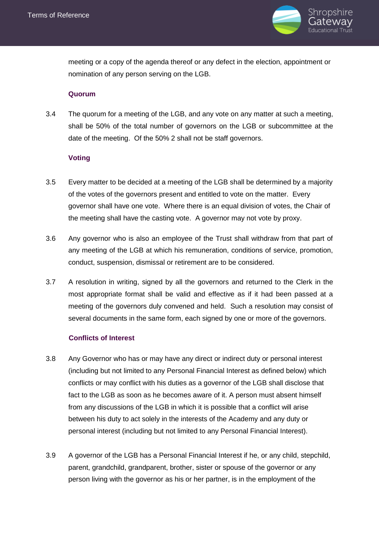

meeting or a copy of the agenda thereof or any defect in the election, appointment or nomination of any person serving on the LGB.

#### **Quorum**

3.4 The quorum for a meeting of the LGB, and any vote on any matter at such a meeting, shall be 50% of the total number of governors on the LGB or subcommittee at the date of the meeting. Of the 50% 2 shall not be staff governors.

### **Voting**

- 3.5 Every matter to be decided at a meeting of the LGB shall be determined by a majority of the votes of the governors present and entitled to vote on the matter. Every governor shall have one vote. Where there is an equal division of votes, the Chair of the meeting shall have the casting vote. A governor may not vote by proxy.
- 3.6 Any governor who is also an employee of the Trust shall withdraw from that part of any meeting of the LGB at which his remuneration, conditions of service, promotion, conduct, suspension, dismissal or retirement are to be considered.
- 3.7 A resolution in writing, signed by all the governors and returned to the Clerk in the most appropriate format shall be valid and effective as if it had been passed at a meeting of the governors duly convened and held. Such a resolution may consist of several documents in the same form, each signed by one or more of the governors.

### **Conflicts of Interest**

- 3.8 Any Governor who has or may have any direct or indirect duty or personal interest (including but not limited to any Personal Financial Interest as defined below) which conflicts or may conflict with his duties as a governor of the LGB shall disclose that fact to the LGB as soon as he becomes aware of it. A person must absent himself from any discussions of the LGB in which it is possible that a conflict will arise between his duty to act solely in the interests of the Academy and any duty or personal interest (including but not limited to any Personal Financial Interest).
- 3.9 A governor of the LGB has a Personal Financial Interest if he, or any child, stepchild, parent, grandchild, grandparent, brother, sister or spouse of the governor or any person living with the governor as his or her partner, is in the employment of the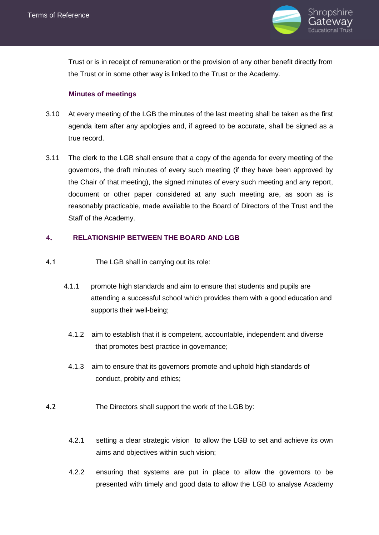

Trust or is in receipt of remuneration or the provision of any other benefit directly from the Trust or in some other way is linked to the Trust or the Academy.

### **Minutes of meetings**

- 3.10 At every meeting of the LGB the minutes of the last meeting shall be taken as the first agenda item after any apologies and, if agreed to be accurate, shall be signed as a true record.
- 3.11 The clerk to the LGB shall ensure that a copy of the agenda for every meeting of the governors, the draft minutes of every such meeting (if they have been approved by the Chair of that meeting), the signed minutes of every such meeting and any report, document or other paper considered at any such meeting are, as soon as is reasonably practicable, made available to the Board of Directors of the Trust and the Staff of the Academy.

# **4. RELATIONSHIP BETWEEN THE BOARD AND LGB**

- 4.1 The LGB shall in carrying out its role:
	- 4.1.1 promote high standards and aim to ensure that students and pupils are attending a successful school which provides them with a good education and supports their well-being;
		- 4.1.2 aim to establish that it is competent, accountable, independent and diverse that promotes best practice in governance;
		- 4.1.3 aim to ensure that its governors promote and uphold high standards of conduct, probity and ethics;
- 4.2 The Directors shall support the work of the LGB by:
	- 4.2.1 setting a clear strategic vision to allow the LGB to set and achieve its own aims and objectives within such vision;
	- 4.2.2 ensuring that systems are put in place to allow the governors to be presented with timely and good data to allow the LGB to analyse Academy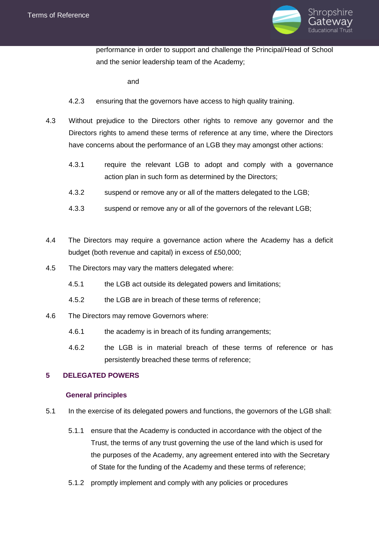

performance in order to support and challenge the Principal/Head of School and the senior leadership team of the Academy;

and

- 4.2.3 ensuring that the governors have access to high quality training.
- 4.3 Without prejudice to the Directors other rights to remove any governor and the Directors rights to amend these terms of reference at any time, where the Directors have concerns about the performance of an LGB they may amongst other actions:
	- 4.3.1 require the relevant LGB to adopt and comply with a governance action plan in such form as determined by the Directors;
	- 4.3.2 suspend or remove any or all of the matters delegated to the LGB;
	- 4.3.3 suspend or remove any or all of the governors of the relevant LGB;
- 4.4 The Directors may require a governance action where the Academy has a deficit budget (both revenue and capital) in excess of £50,000;
- 4.5 The Directors may vary the matters delegated where:
	- 4.5.1 the LGB act outside its delegated powers and limitations;
	- 4.5.2 the LGB are in breach of these terms of reference;
- 4.6 The Directors may remove Governors where:
	- 4.6.1 the academy is in breach of its funding arrangements;
	- 4.6.2 the LGB is in material breach of these terms of reference or has persistently breached these terms of reference;

### **5 DELEGATED POWERS**

### **General principles**

- 5.1 In the exercise of its delegated powers and functions, the governors of the LGB shall:
	- 5.1.1 ensure that the Academy is conducted in accordance with the object of the Trust, the terms of any trust governing the use of the land which is used for the purposes of the Academy, any agreement entered into with the Secretary of State for the funding of the Academy and these terms of reference;
	- 5.1.2 promptly implement and comply with any policies or procedures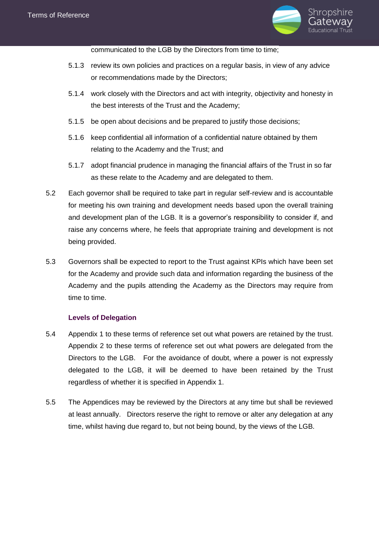

communicated to the LGB by the Directors from time to time;

- 5.1.3 review its own policies and practices on a regular basis, in view of any advice or recommendations made by the Directors;
- 5.1.4 work closely with the Directors and act with integrity, objectivity and honesty in the best interests of the Trust and the Academy;
- 5.1.5 be open about decisions and be prepared to justify those decisions;
- 5.1.6 keep confidential all information of a confidential nature obtained by them relating to the Academy and the Trust; and
- 5.1.7 adopt financial prudence in managing the financial affairs of the Trust in so far as these relate to the Academy and are delegated to them.
- 5.2 Each governor shall be required to take part in regular self-review and is accountable for meeting his own training and development needs based upon the overall training and development plan of the LGB. It is a governor's responsibility to consider if, and raise any concerns where, he feels that appropriate training and development is not being provided.
- 5.3 Governors shall be expected to report to the Trust against KPIs which have been set for the Academy and provide such data and information regarding the business of the Academy and the pupils attending the Academy as the Directors may require from time to time.

### **Levels of Delegation**

- 5.4 Appendix 1 to these terms of reference set out what powers are retained by the trust. Appendix 2 to these terms of reference set out what powers are delegated from the Directors to the LGB. For the avoidance of doubt, where a power is not expressly delegated to the LGB, it will be deemed to have been retained by the Trust regardless of whether it is specified in Appendix 1.
- 5.5 The Appendices may be reviewed by the Directors at any time but shall be reviewed at least annually. Directors reserve the right to remove or alter any delegation at any time, whilst having due regard to, but not being bound, by the views of the LGB.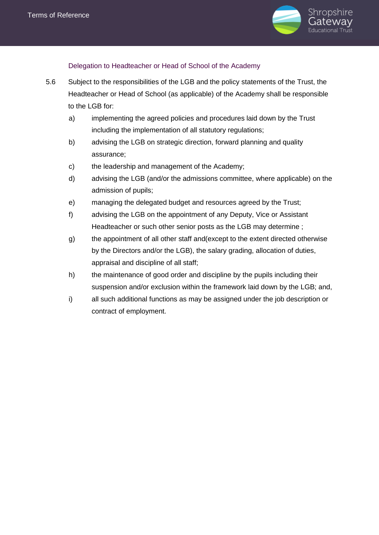

# Delegation to Headteacher or Head of School of the Academy

- 5.6 Subject to the responsibilities of the LGB and the policy statements of the Trust, the Headteacher or Head of School (as applicable) of the Academy shall be responsible to the LGB for:
	- a) implementing the agreed policies and procedures laid down by the Trust including the implementation of all statutory regulations;
	- b) advising the LGB on strategic direction, forward planning and quality assurance;
	- c) the leadership and management of the Academy;
	- d) advising the LGB (and/or the admissions committee, where applicable) on the admission of pupils;
	- e) managing the delegated budget and resources agreed by the Trust;
	- f) advising the LGB on the appointment of any Deputy, Vice or Assistant Headteacher or such other senior posts as the LGB may determine ;
	- g) the appointment of all other staff and(except to the extent directed otherwise by the Directors and/or the LGB), the salary grading, allocation of duties, appraisal and discipline of all staff;
	- h) the maintenance of good order and discipline by the pupils including their suspension and/or exclusion within the framework laid down by the LGB; and,
	- i) all such additional functions as may be assigned under the job description or contract of employment.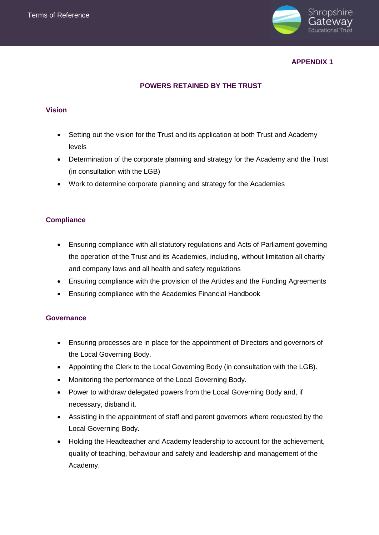

# **APPENDIX 1**

# **POWERS RETAINED BY THE TRUST**

# **Vision**

- Setting out the vision for the Trust and its application at both Trust and Academy levels
- Determination of the corporate planning and strategy for the Academy and the Trust (in consultation with the LGB)
- Work to determine corporate planning and strategy for the Academies

# **Compliance**

- Ensuring compliance with all statutory regulations and Acts of Parliament governing the operation of the Trust and its Academies, including, without limitation all charity and company laws and all health and safety regulations
- Ensuring compliance with the provision of the Articles and the Funding Agreements
- Ensuring compliance with the Academies Financial Handbook

### **Governance**

- Ensuring processes are in place for the appointment of Directors and governors of the Local Governing Body.
- Appointing the Clerk to the Local Governing Body (in consultation with the LGB).
- Monitoring the performance of the Local Governing Body.
- Power to withdraw delegated powers from the Local Governing Body and, if necessary, disband it.
- Assisting in the appointment of staff and parent governors where requested by the Local Governing Body.
- Holding the Headteacher and Academy leadership to account for the achievement, quality of teaching, behaviour and safety and leadership and management of the Academy.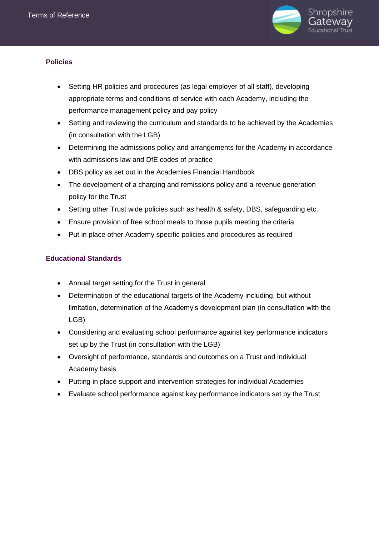

# **Policies**

- Setting HR policies and procedures (as legal employer of all staff), developing appropriate terms and conditions of service with each Academy, including the performance management policy and pay policy
- Setting and reviewing the curriculum and standards to be achieved by the Academies (in consultation with the LGB)
- Determining the admissions policy and arrangements for the Academy in accordance with admissions law and DfE codes of practice
- DBS policy as set out in the Academies Financial Handbook
- The development of a charging and remissions policy and a revenue generation policy for the Trust
- Setting other Trust wide policies such as health & safety, DBS, safeguarding etc.
- Ensure provision of free school meals to those pupils meeting the criteria
- Put in place other Academy specific policies and procedures as required

# **Educational Standards**

- Annual target setting for the Trust in general
- Determination of the educational targets of the Academy including, but without limitation, determination of the Academy's development plan (in consultation with the LGB)
- Considering and evaluating school performance against key performance indicators set up by the Trust (in consultation with the LGB)
- Oversight of performance, standards and outcomes on a Trust and individual Academy basis
- Putting in place support and intervention strategies for individual Academies
- Evaluate school performance against key performance indicators set by the Trust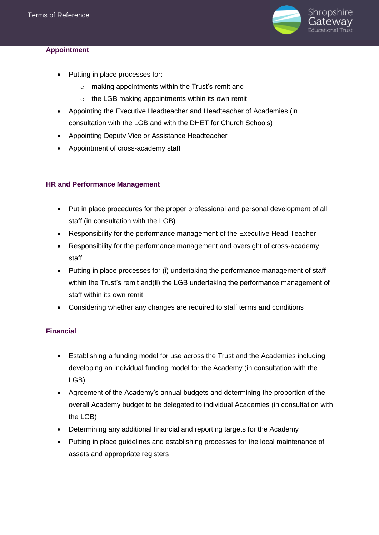

# **Appointment**

- Putting in place processes for:
	- o making appointments within the Trust's remit and
	- $\circ$  the LGB making appointments within its own remit
- Appointing the Executive Headteacher and Headteacher of Academies (in consultation with the LGB and with the DHET for Church Schools)
- Appointing Deputy Vice or Assistance Headteacher
- Appointment of cross-academy staff

# **HR and Performance Management**

- Put in place procedures for the proper professional and personal development of all staff (in consultation with the LGB)
- Responsibility for the performance management of the Executive Head Teacher
- Responsibility for the performance management and oversight of cross-academy staff
- Putting in place processes for (i) undertaking the performance management of staff within the Trust's remit and(ii) the LGB undertaking the performance management of staff within its own remit
- Considering whether any changes are required to staff terms and conditions

# **Financial**

- Establishing a funding model for use across the Trust and the Academies including developing an individual funding model for the Academy (in consultation with the LGB)
- Agreement of the Academy's annual budgets and determining the proportion of the overall Academy budget to be delegated to individual Academies (in consultation with the LGB)
- Determining any additional financial and reporting targets for the Academy
- Putting in place guidelines and establishing processes for the local maintenance of assets and appropriate registers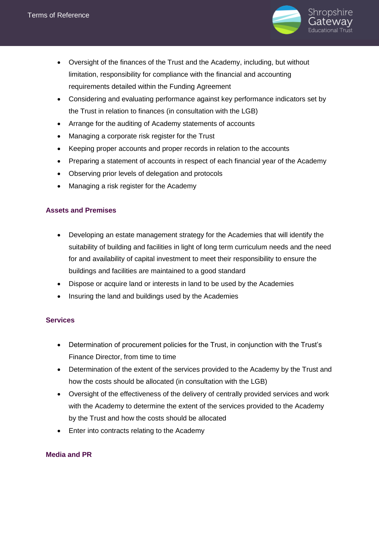

- Oversight of the finances of the Trust and the Academy, including, but without limitation, responsibility for compliance with the financial and accounting requirements detailed within the Funding Agreement
- Considering and evaluating performance against key performance indicators set by the Trust in relation to finances (in consultation with the LGB)
- Arrange for the auditing of Academy statements of accounts
- Managing a corporate risk register for the Trust
- Keeping proper accounts and proper records in relation to the accounts
- Preparing a statement of accounts in respect of each financial year of the Academy
- Observing prior levels of delegation and protocols
- Managing a risk register for the Academy

# **Assets and Premises**

- Developing an estate management strategy for the Academies that will identify the suitability of building and facilities in light of long term curriculum needs and the need for and availability of capital investment to meet their responsibility to ensure the buildings and facilities are maintained to a good standard
- Dispose or acquire land or interests in land to be used by the Academies
- Insuring the land and buildings used by the Academies

# **Services**

- Determination of procurement policies for the Trust, in conjunction with the Trust's Finance Director, from time to time
- Determination of the extent of the services provided to the Academy by the Trust and how the costs should be allocated (in consultation with the LGB)
- Oversight of the effectiveness of the delivery of centrally provided services and work with the Academy to determine the extent of the services provided to the Academy by the Trust and how the costs should be allocated
- Enter into contracts relating to the Academy

# **Media and PR**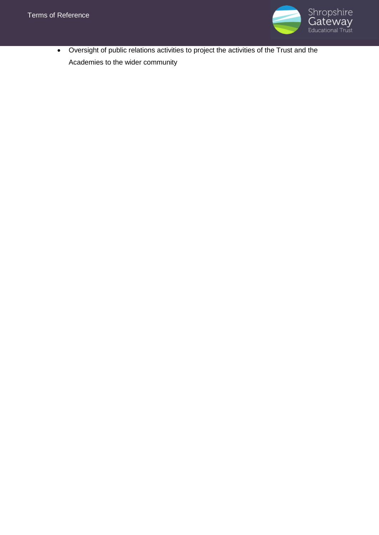

 Oversight of public relations activities to project the activities of the Trust and the Academies to the wider community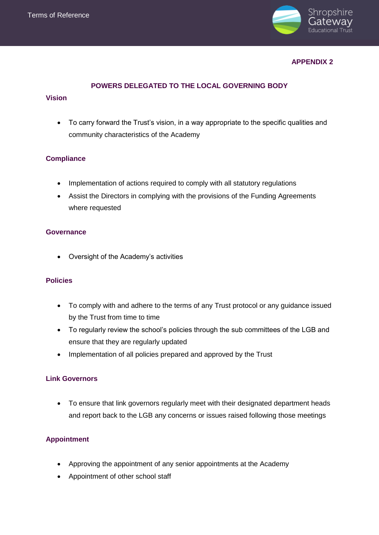

# **APPENDIX 2**

### **POWERS DELEGATED TO THE LOCAL GOVERNING BODY**

#### **Vision**

• To carry forward the Trust's vision, in a way appropriate to the specific qualities and community characteristics of the Academy

### **Compliance**

- Implementation of actions required to comply with all statutory regulations
- Assist the Directors in complying with the provisions of the Funding Agreements where requested

### **Governance**

Oversight of the Academy's activities

### **Policies**

- To comply with and adhere to the terms of any Trust protocol or any guidance issued by the Trust from time to time
- To regularly review the school's policies through the sub committees of the LGB and ensure that they are regularly updated
- Implementation of all policies prepared and approved by the Trust

### **Link Governors**

 To ensure that link governors regularly meet with their designated department heads and report back to the LGB any concerns or issues raised following those meetings

### **Appointment**

- Approving the appointment of any senior appointments at the Academy
- Appointment of other school staff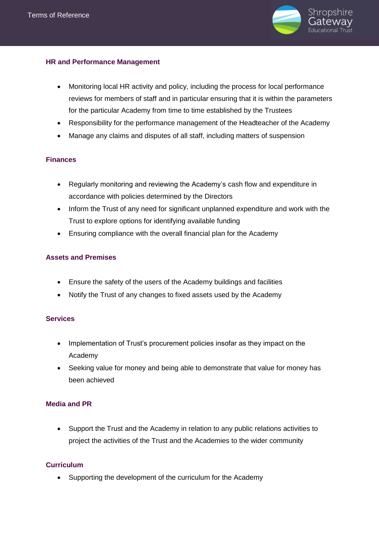

# **HR and Performance Management**

- Monitoring local HR activity and policy, including the process for local performance reviews for members of staff and in particular ensuring that it is within the parameters for the particular Academy from time to time established by the Trustees
- Responsibility for the performance management of the Headteacher of the Academy
- Manage any claims and disputes of all staff, including matters of suspension

### **Finances**

- Regularly monitoring and reviewing the Academy's cash flow and expenditure in accordance with policies determined by the Directors
- Inform the Trust of any need for significant unplanned expenditure and work with the Trust to explore options for identifying available funding
- Ensuring compliance with the overall financial plan for the Academy

# **Assets and Premises**

- Ensure the safety of the users of the Academy buildings and facilities
- Notify the Trust of any changes to fixed assets used by the Academy

### **Services**

- Implementation of Trust's procurement policies insofar as they impact on the Academy
- Seeking value for money and being able to demonstrate that value for money has been achieved

### **Media and PR**

 Support the Trust and the Academy in relation to any public relations activities to project the activities of the Trust and the Academies to the wider community

### **Curriculum**

Supporting the development of the curriculum for the Academy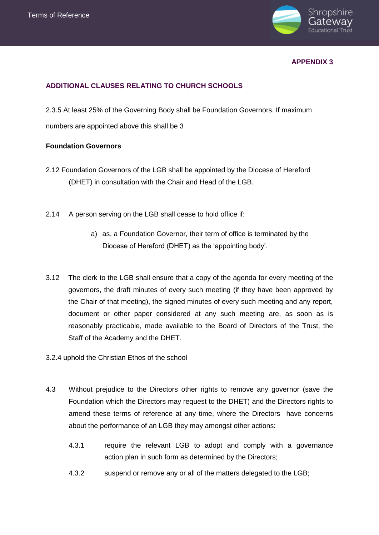

### **APPENDIX 3**

# **ADDITIONAL CLAUSES RELATING TO CHURCH SCHOOLS**

2.3.5 At least 25% of the Governing Body shall be Foundation Governors. If maximum numbers are appointed above this shall be 3

### **Foundation Governors**

- 2.12 Foundation Governors of the LGB shall be appointed by the Diocese of Hereford (DHET) in consultation with the Chair and Head of the LGB.
- 2.14 A person serving on the LGB shall cease to hold office if:
	- a) as, a Foundation Governor, their term of office is terminated by the Diocese of Hereford (DHET) as the 'appointing body'.
- 3.12 The clerk to the LGB shall ensure that a copy of the agenda for every meeting of the governors, the draft minutes of every such meeting (if they have been approved by the Chair of that meeting), the signed minutes of every such meeting and any report, document or other paper considered at any such meeting are, as soon as is reasonably practicable, made available to the Board of Directors of the Trust, the Staff of the Academy and the DHET.
- 3.2.4 uphold the Christian Ethos of the school
- 4.3 Without prejudice to the Directors other rights to remove any governor (save the Foundation which the Directors may request to the DHET) and the Directors rights to amend these terms of reference at any time, where the Directors have concerns about the performance of an LGB they may amongst other actions:
	- 4.3.1 require the relevant LGB to adopt and comply with a governance action plan in such form as determined by the Directors;
	- 4.3.2 suspend or remove any or all of the matters delegated to the LGB;